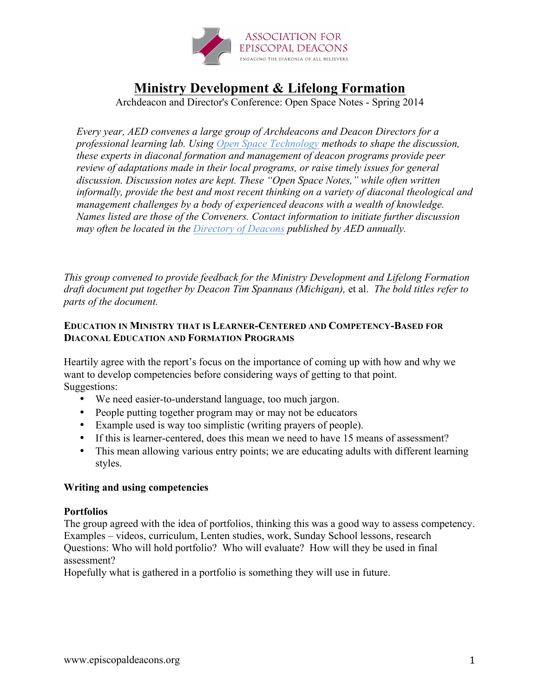

# **Ministry Development & Lifelong Formation**

Archdeacon and Director's Conference: Open Space Notes - Spring 2014

*Every year, AED convenes a large group of Archdeacons and Deacon Directors for a professional learning lab. Using Open Space Technology methods to shape the discussion, these experts in diaconal formation and management of deacon programs provide peer review of adaptations made in their local programs, or raise timely issues for general discussion. Discussion notes are kept. These "Open Space Notes," while often written informally, provide the best and most recent thinking on a variety of diaconal theological and management challenges by a body of experienced deacons with a wealth of knowledge. Names listed are those of the Conveners. Contact information to initiate further discussion may often be located in the Directory of Deacons published by AED annually.*

*This group convened to provide feedback for the Ministry Development and Lifelong Formation draft document put together by Deacon Tim Spannaus (Michigan),* et al. *The bold titles refer to parts of the document.*

## **EDUCATION IN MINISTRY THAT IS LEARNER-CENTERED AND COMPETENCY-BASED FOR DIACONAL EDUCATION AND FORMATION PROGRAMS**

Heartily agree with the report's focus on the importance of coming up with how and why we want to develop competencies before considering ways of getting to that point. Suggestions:

- We need easier-to-understand language, too much jargon.
- People putting together program may or may not be educators
- Example used is way too simplistic (writing prayers of people).
- If this is learner-centered, does this mean we need to have 15 means of assessment?
- This mean allowing various entry points; we are educating adults with different learning styles.

## **Writing and using competencies**

## **Portfolios**

The group agreed with the idea of portfolios, thinking this was a good way to assess competency. Examples – videos, curriculum, Lenten studies, work, Sunday School lessons, research Questions: Who will hold portfolio? Who will evaluate? How will they be used in final assessment?

Hopefully what is gathered in a portfolio is something they will use in future.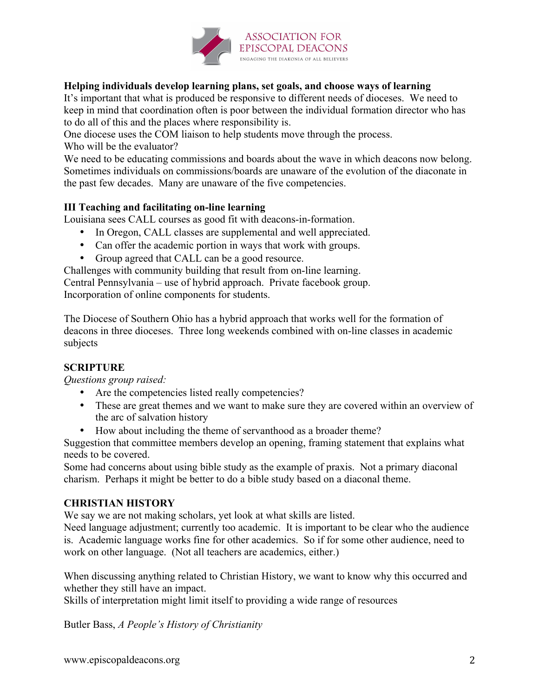

# **Helping individuals develop learning plans, set goals, and choose ways of learning**

It's important that what is produced be responsive to different needs of dioceses. We need to keep in mind that coordination often is poor between the individual formation director who has to do all of this and the places where responsibility is.

One diocese uses the COM liaison to help students move through the process.

Who will be the evaluator?

We need to be educating commissions and boards about the wave in which deacons now belong. Sometimes individuals on commissions/boards are unaware of the evolution of the diaconate in the past few decades. Many are unaware of the five competencies.

# **III Teaching and facilitating on-line learning**

Louisiana sees CALL courses as good fit with deacons-in-formation.

- In Oregon, CALL classes are supplemental and well appreciated.
- Can offer the academic portion in ways that work with groups.
- Group agreed that CALL can be a good resource.

Challenges with community building that result from on-line learning. Central Pennsylvania – use of hybrid approach. Private facebook group. Incorporation of online components for students.

The Diocese of Southern Ohio has a hybrid approach that works well for the formation of deacons in three dioceses. Three long weekends combined with on-line classes in academic subjects

## **SCRIPTURE**

*Questions group raised:*

- Are the competencies listed really competencies?
- These are great themes and we want to make sure they are covered within an overview of the arc of salvation history
- How about including the theme of servanthood as a broader theme?

Suggestion that committee members develop an opening, framing statement that explains what needs to be covered.

Some had concerns about using bible study as the example of praxis. Not a primary diaconal charism. Perhaps it might be better to do a bible study based on a diaconal theme.

# **CHRISTIAN HISTORY**

We say we are not making scholars, yet look at what skills are listed.

Need language adjustment; currently too academic. It is important to be clear who the audience is. Academic language works fine for other academics. So if for some other audience, need to work on other language. (Not all teachers are academics, either.)

When discussing anything related to Christian History, we want to know why this occurred and whether they still have an impact.

Skills of interpretation might limit itself to providing a wide range of resources

Butler Bass, *A People's History of Christianity*